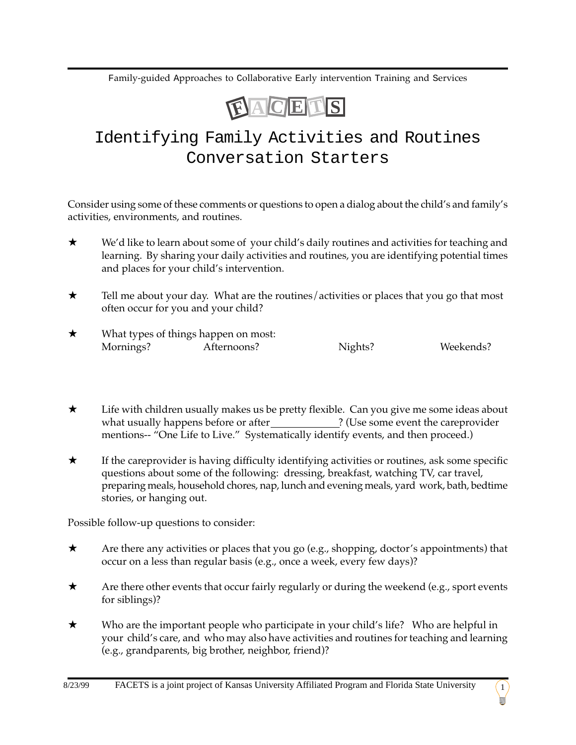Family-guided Approaches to Collaborative Early intervention Training and Services



## Identifying Family Activities and Routines Conversation Starters

Consider using some of these comments or questions to open a dialog about the child's and family's activities, environments, and routines.

- ★ We'd like to learn about some of your child's daily routines and activities for teaching and learning. By sharing your daily activities and routines, you are identifying potential times and places for your child's intervention.
- ★ Tell me about your day. What are the routines/activities or places that you go that most often occur for you and your child?
- $\star$  What types of things happen on most: Mornings? Afternoons? Nights? Weekends?
- ★ Life with children usually makes us be pretty flexible. Can you give me some ideas about what usually happens before or after \_\_\_\_\_\_\_\_\_\_\_\_\_? (Use some event the careprovider mentions-- "One Life to Live." Systematically identify events, and then proceed.)
- ★ If the careprovider is having difficulty identifying activities or routines, ask some specific questions about some of the following: dressing, breakfast, watching TV, car travel, preparing meals, household chores, nap, lunch and evening meals, yard work, bath, bedtime stories, or hanging out.

Possible follow-up questions to consider:

- $\star$  Are there any activities or places that you go (e.g., shopping, doctor's appointments) that occur on a less than regular basis (e.g., once a week, every few days)?
- $\star$  Are there other events that occur fairly regularly or during the weekend (e.g., sport events for siblings)?
- ★ Who are the important people who participate in your child's life? Who are helpful in your child's care, and who may also have activities and routines for teaching and learning (e.g., grandparents, big brother, neighbor, friend)?